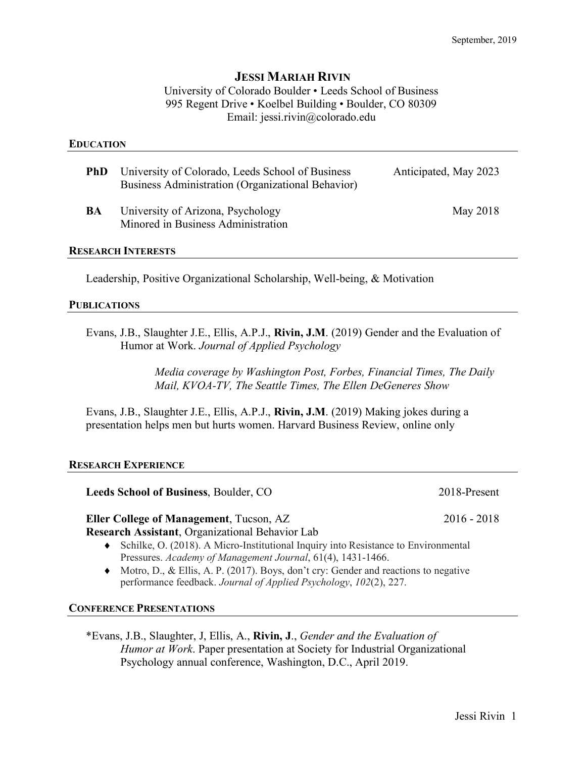# **JESSI MARIAH RIVIN**

University of Colorado Boulder • Leeds School of Business 995 Regent Drive • Koelbel Building • Boulder, CO 80309 Email: jessi.rivin@colorado.edu

#### **EDUCATION**

| <b>PhD</b> | University of Colorado, Leeds School of Business<br><b>Business Administration (Organizational Behavior)</b> | Anticipated, May 2023 |
|------------|--------------------------------------------------------------------------------------------------------------|-----------------------|
| BA         | University of Arizona, Psychology<br>Minored in Business Administration                                      | May 2018              |

#### **RESEARCH INTERESTS**

Leadership, Positive Organizational Scholarship, Well-being, & Motivation

#### **PUBLICATIONS**

Evans, J.B., Slaughter J.E., Ellis, A.P.J., **Rivin, J.M**. (2019) Gender and the Evaluation of Humor at Work. *Journal of Applied Psychology*

> *Media coverage by Washington Post, Forbes, Financial Times, The Daily Mail, KVOA-TV, The Seattle Times, The Ellen DeGeneres Show*

Evans, J.B., Slaughter J.E., Ellis, A.P.J., **Rivin, J.M**. (2019) Making jokes during a presentation helps men but hurts women. Harvard Business Review, online only

# **RESEARCH EXPERIENCE**

**Leeds School of Business**, Boulder, CO 2018-Present

**Eller College of Management**, Tucson, AZ 2016 - 2018

**Research Assistant**, Organizational Behavior Lab

- $\bullet$  Schilke, O. (2018). A Micro-Institutional Inquiry into Resistance to Environmental Pressures. *Academy of Management Journal*, 61(4), 1431-1466.
- $\blacklozenge$  Motro, D., & Ellis, A. P. (2017). Boys, don't cry: Gender and reactions to negative performance feedback. *Journal of Applied Psychology*, *102*(2), 227.

# **CONFERENCE PRESENTATIONS**

\*Evans, J.B., Slaughter, J, Ellis, A., **Rivin, J**., *Gender and the Evaluation of Humor at Work*. Paper presentation at Society for Industrial Organizational Psychology annual conference, Washington, D.C., April 2019.